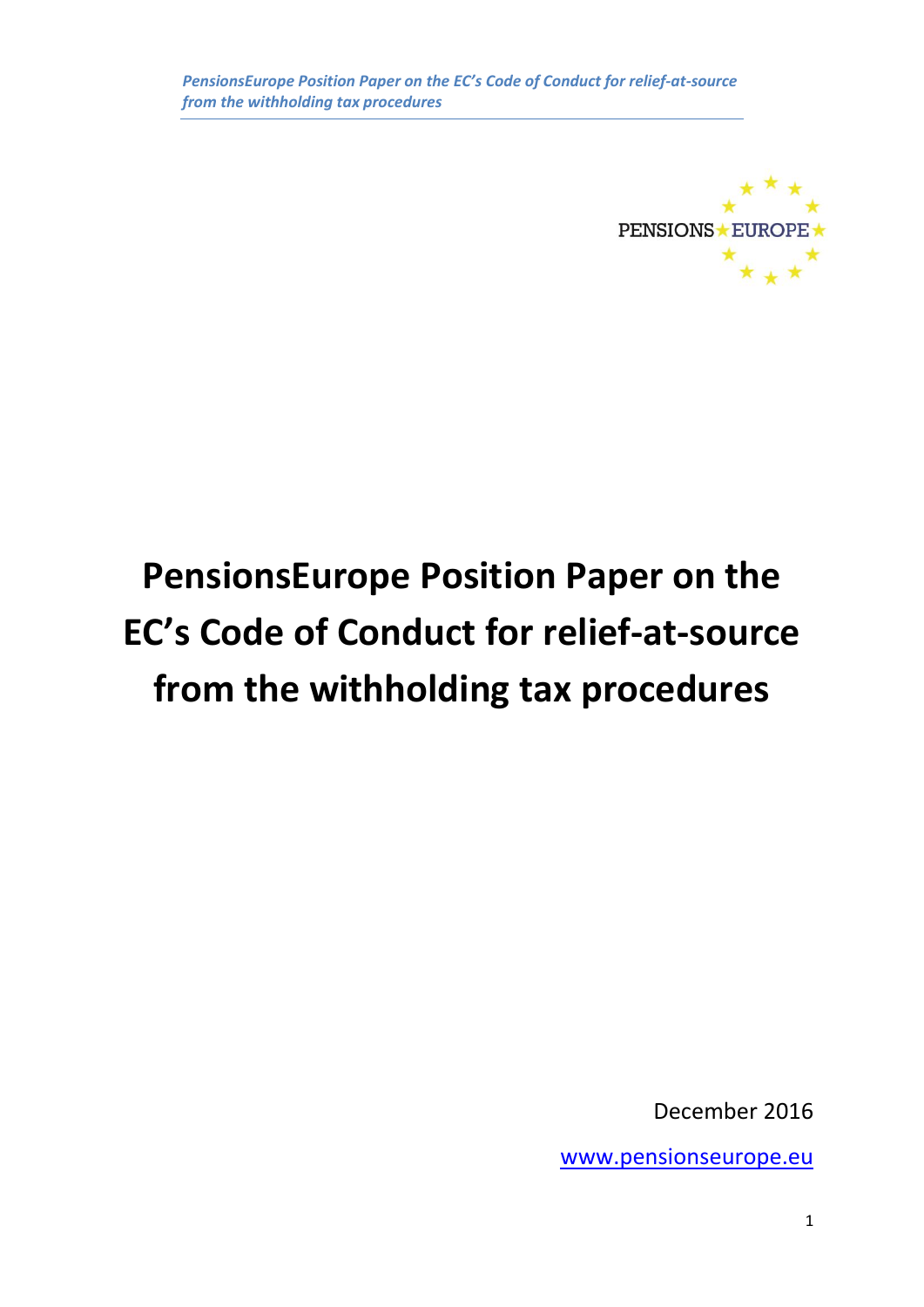

# **PensionsEurope Position Paper on the EC's Code of Conduct for relief-at-source from the withholding tax procedures**

December 2016

[www.pensionseurope.eu](http://www.pensionseurope.eu/)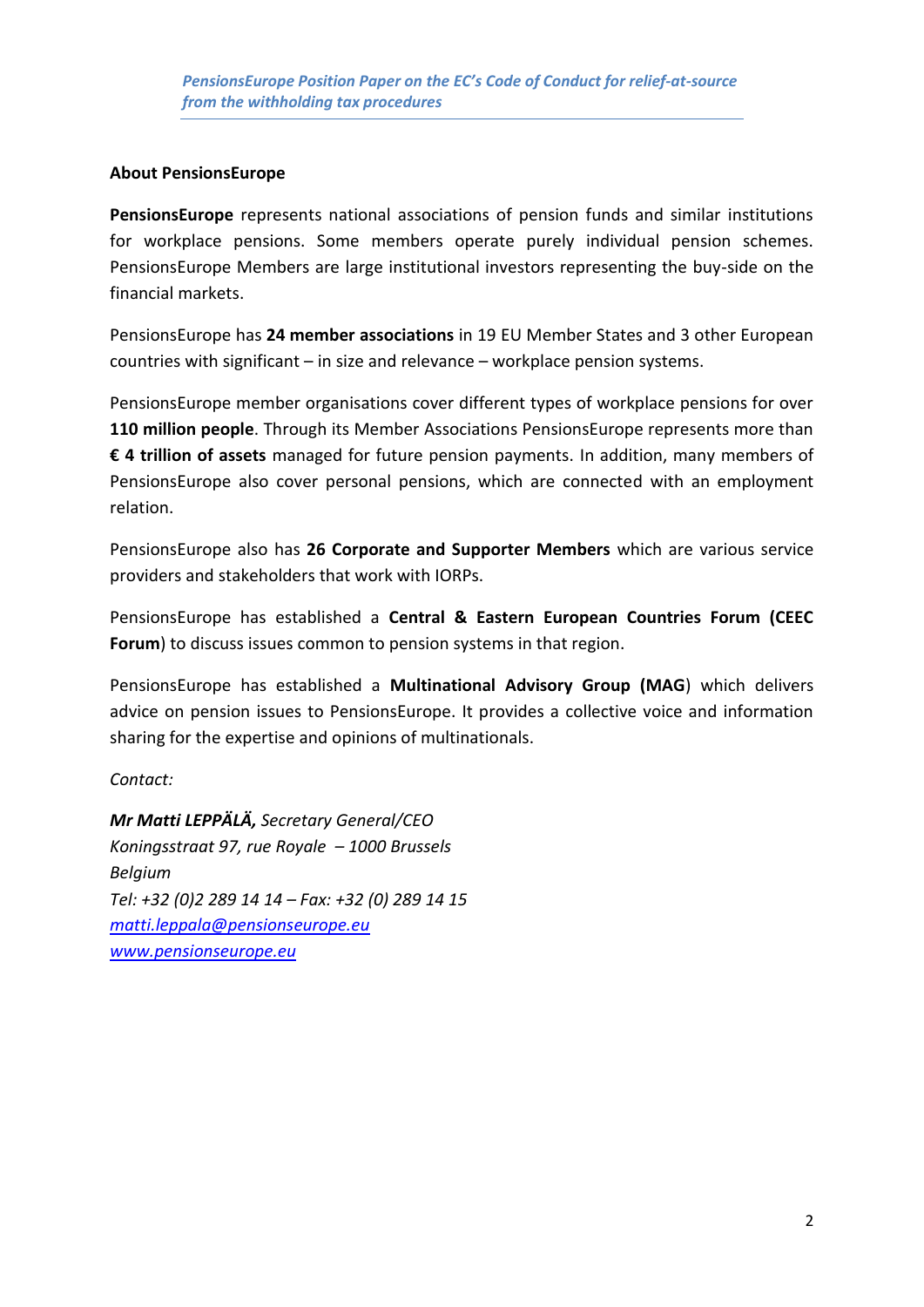#### **About PensionsEurope**

**PensionsEurope** represents national associations of pension funds and similar institutions for workplace pensions. Some members operate purely individual pension schemes. PensionsEurope Members are large institutional investors representing the buy-side on the financial markets.

PensionsEurope has **24 member associations** in 19 EU Member States and 3 other European countries with significant – in size and relevance – workplace pension systems.

PensionsEurope member organisations cover different types of workplace pensions for over **110 million people**. Through its Member Associations PensionsEurope represents more than **€ 4 trillion of assets** managed for future pension payments. In addition, many members of PensionsEurope also cover personal pensions, which are connected with an employment relation.

PensionsEurope also has **26 Corporate and Supporter Members** which are various service providers and stakeholders that work with IORPs.

PensionsEurope has established a **Central & Eastern European Countries Forum (CEEC Forum**) to discuss issues common to pension systems in that region.

PensionsEurope has established a **Multinational Advisory Group (MAG**) which delivers advice on pension issues to PensionsEurope. It provides a collective voice and information sharing for the expertise and opinions of multinationals.

*Contact:*

*Mr Matti LEPPÄLÄ, Secretary General/CEO Koningsstraat 97, rue Royale – 1000 Brussels Belgium Tel: +32 (0)2 289 14 14 – Fax: +32 (0) 289 14 15 [matti.leppala@pensionseurope.eu](mailto:matti.leppala@pensionseurope.eu) [www.pensionseurope.eu](http://www.pensionseurope.eu/)*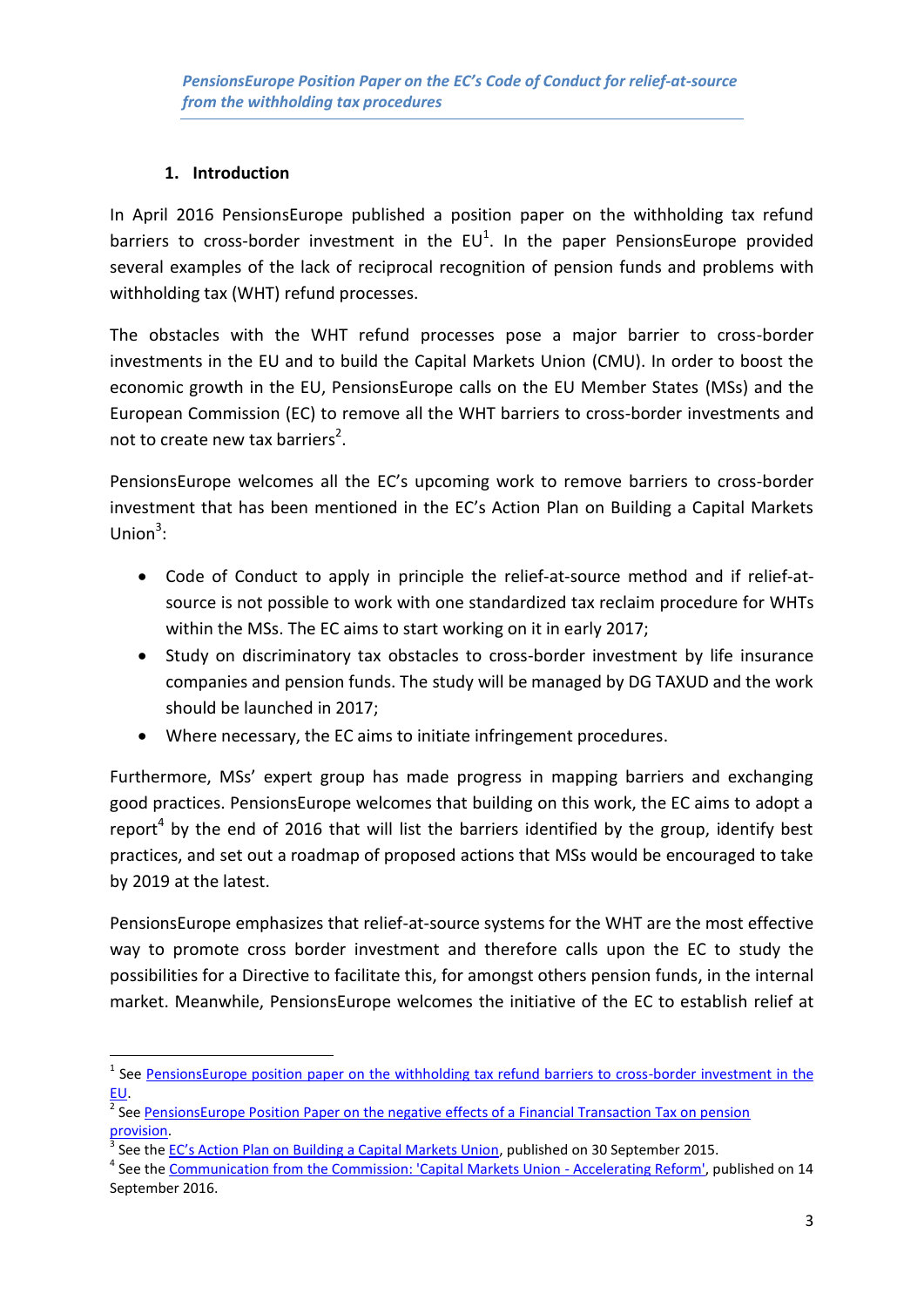### **1. Introduction**

1

In April 2016 PensionsEurope published a [position paper on the withholding tax refund](http://www.pensionseurope.eu/system/files/PensionsEurope%20position%20paper%20on%20the%20withholding%20tax%20refund%20barriers%20-%20FINAL.pdf)  barriers to cross-border investment in the  $EU^1$ . In the paper PensionsEurope provided several examples of the lack of reciprocal recognition of pension funds and problems with withholding tax (WHT) refund processes.

The obstacles with the WHT refund processes pose a major barrier to cross-border investments in the EU and to build the Capital Markets Union (CMU). In order to boost the economic growth in the EU, PensionsEurope calls on the EU Member States (MSs) and the European Commission (EC) to remove all the WHT barriers to cross-border investments and not to create new tax barriers<sup>2</sup>.

PensionsEurope welcomes all the EC's upcoming work to remove barriers to cross-border investment that has been mentioned in the EC's Action Plan on Building a Capital Markets Union $3$ :

- Code of Conduct to apply in principle the relief-at-source method and if relief-atsource is not possible to work with one standardized tax reclaim procedure for WHTs within the MSs. The EC aims to start working on it in early 2017;
- Study on discriminatory tax obstacles to cross-border investment by life insurance companies and pension funds. The study will be managed by DG TAXUD and the work should be launched in 2017;
- Where necessary, the EC aims to initiate infringement procedures.

Furthermore, MSs' expert group has made progress in mapping barriers and exchanging good practices. PensionsEurope welcomes that building on this work, the EC aims to adopt a report<sup>4</sup> by the end of 2016 that will list the barriers identified by the group, identify best practices, and set out a roadmap of proposed actions that MSs would be encouraged to take by 2019 at the latest.

PensionsEurope emphasizes that relief-at-source systems for the WHT are the most effective way to promote cross border investment and therefore calls upon the EC to study the possibilities for a Directive to facilitate this, for amongst others pension funds, in the internal market. Meanwhile, PensionsEurope welcomes the initiative of the EC to establish relief at

<sup>&</sup>lt;sup>1</sup> See PensionsEurope position paper on the withholding tax refund barriers to cross-border investment in the [EU.](http://www.pensionseurope.eu/system/files/PensionsEurope%20position%20paper%20on%20the%20withholding%20tax%20refund%20barriers%20-%20FINAL.pdf)

<sup>&</sup>lt;sup>2</sup> See <u>PensionsEurope Position Paper on the negative effects of a Financial Transaction Tax on pension</u> [provision.](http://www.pensionseurope.eu/system/files/PensionsEurope%20position%20paper%202015_0.pdf)

<sup>3</sup> See the [EC's Action Plan on Building a Capital Markets Union](http://eur-lex.europa.eu/legal-content/EN/TXT/PDF/?uri=CELEX:52015DC0468&from=EN), published on 30 September 2015.

<sup>&</sup>lt;sup>4</sup> See the [Communication from the Commission: 'Capital Markets Union -](http://ec.europa.eu/finance/capital-markets-union/docs/20160914-com-2016-601_en.pdf) Accelerating Reform', published on 14 September 2016.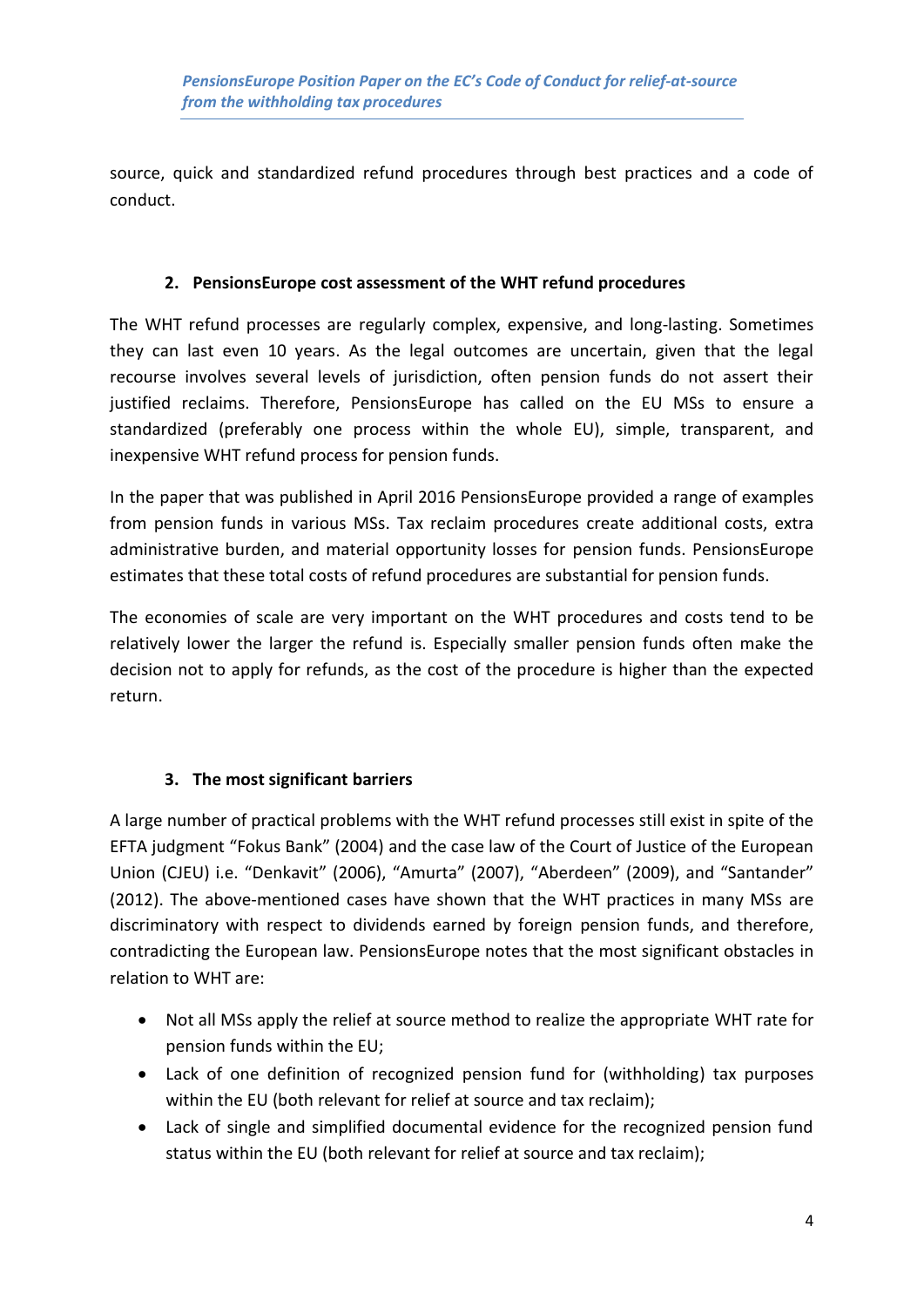source, quick and standardized refund procedures through best practices and a code of conduct.

#### **2. PensionsEurope cost assessment of the WHT refund procedures**

The WHT refund processes are regularly complex, expensive, and long-lasting. Sometimes they can last even 10 years. As the legal outcomes are uncertain, given that the legal recourse involves several levels of jurisdiction, often pension funds do not assert their justified reclaims. Therefore, PensionsEurope has called on the EU MSs to ensure a standardized (preferably one process within the whole EU), simple, transparent, and inexpensive WHT refund process for pension funds.

In the paper that was published in April 2016 PensionsEurope provided a range of examples from pension funds in various MSs. Tax reclaim procedures create additional costs, extra administrative burden, and material opportunity losses for pension funds. PensionsEurope estimates that these total costs of refund procedures are substantial for pension funds.

The economies of scale are very important on the WHT procedures and costs tend to be relatively lower the larger the refund is. Especially smaller pension funds often make the decision not to apply for refunds, as the cost of the procedure is higher than the expected return.

#### **3. The most significant barriers**

A large number of practical problems with the WHT refund processes still exist in spite of the EFTA judgment "Fokus Bank" (2004) and the case law of the Court of Justice of the European Union (CJEU) i.e. "Denkavit" (2006), "Amurta" (2007), "Aberdeen" (2009), and "Santander" (2012). The above-mentioned cases have shown that the WHT practices in many MSs are discriminatory with respect to dividends earned by foreign pension funds, and therefore, contradicting the European law. PensionsEurope notes that the most significant obstacles in relation to WHT are:

- Not all MSs apply the relief at source method to realize the appropriate WHT rate for pension funds within the EU;
- Lack of one definition of recognized pension fund for (withholding) tax purposes within the EU (both relevant for relief at source and tax reclaim);
- Lack of single and simplified documental evidence for the recognized pension fund status within the EU (both relevant for relief at source and tax reclaim);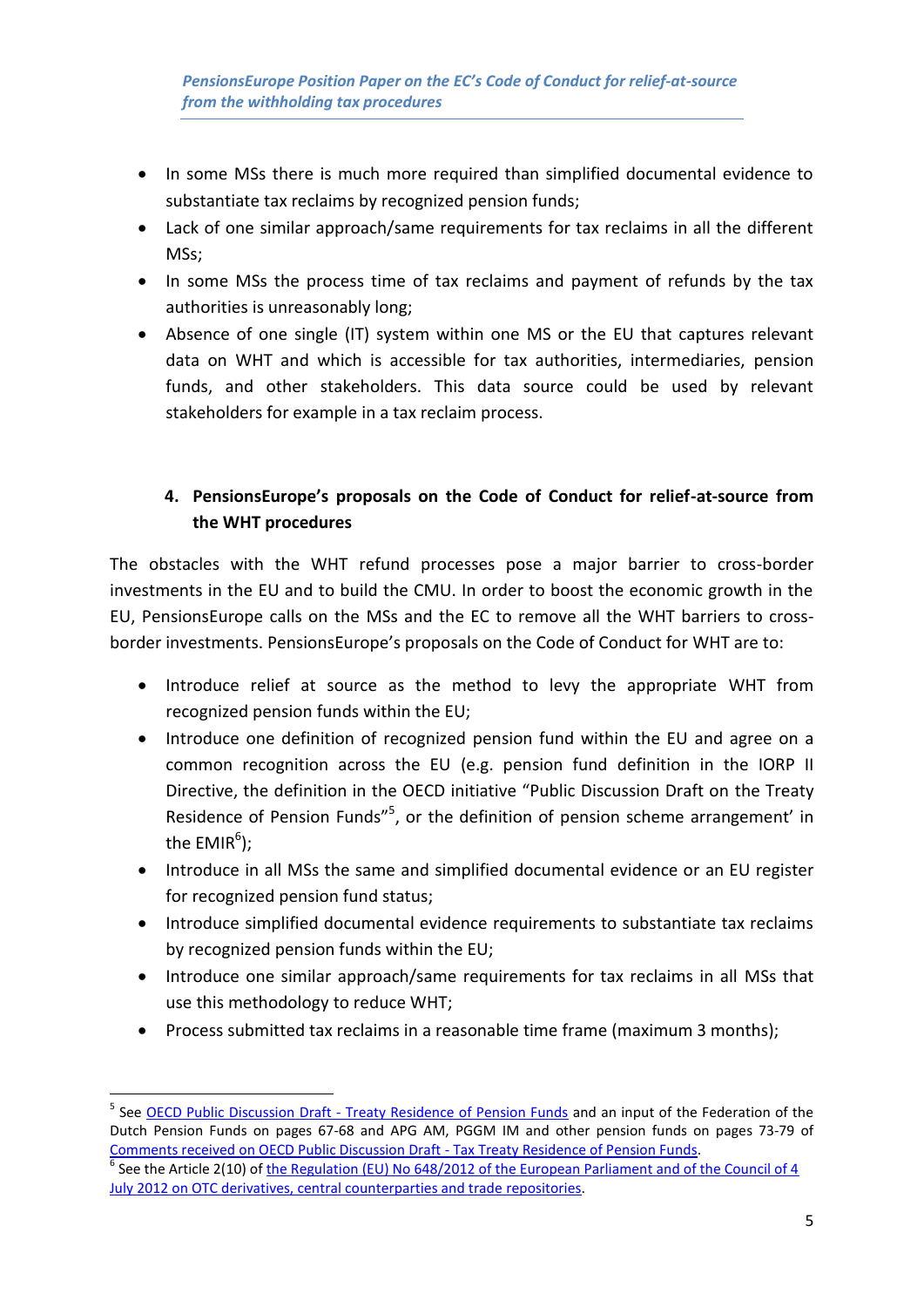- In some MSs there is much more required than simplified documental evidence to substantiate tax reclaims by recognized pension funds;
- Lack of one similar approach/same requirements for tax reclaims in all the different MSs;
- In some MSs the process time of tax reclaims and payment of refunds by the tax authorities is unreasonably long;
- Absence of one single (IT) system within one MS or the EU that captures relevant data on WHT and which is accessible for tax authorities, intermediaries, pension funds, and other stakeholders. This data source could be used by relevant stakeholders for example in a tax reclaim process.

## **4. PensionsEurope's proposals on the Code of Conduct for relief-at-source from the WHT procedures**

The obstacles with the WHT refund processes pose a major barrier to cross-border investments in the EU and to build the CMU. In order to boost the economic growth in the EU, PensionsEurope calls on the MSs and the EC to remove all the WHT barriers to crossborder investments. PensionsEurope's proposals on the Code of Conduct for WHT are to:

- Introduce relief at source as the method to levy the appropriate WHT from recognized pension funds within the EU;
- Introduce one definition of recognized pension fund within the EU and agree on a common recognition across the EU (e.g. pension fund definition in the IORP II Directive, the definition in the OECD initiative "Public Discussion Draft on the Treaty Residence of Pension Funds"<sup>5</sup>, or the definition of pension scheme arrangement' in the EMIR $^6$ );
- Introduce in all MSs the same and simplified documental evidence or an EU register for recognized pension fund status;
- Introduce simplified documental evidence requirements to substantiate tax reclaims by recognized pension funds within the EU;
- Introduce one similar approach/same requirements for tax reclaims in all MSs that use this methodology to reduce WHT;
- Process submitted tax reclaims in a reasonable time frame (maximum 3 months);

**<sup>.</sup>** <sup>5</sup> See <u>OECD Public Discussion Draft - [Treaty Residence of Pension Funds](http://www.oecd.org/tax/treaties/discussion-draft-treaty-residence-pension-funds.pdf)</u> and an input of the Federation of the Dutch Pension Funds on pages 67-68 and APG AM, PGGM IM and other pension funds on pages 73-79 of [Comments received on OECD Public Discussion Draft -](https://www.oecd.org/tax/treaties/public-comments-received-discussion-draft-treaty-residence-pension-funds.pdf) Tax Treaty Residence of Pension Funds.

<sup>&</sup>lt;sup>6</sup> See the Article 2(10) of the Regulation (EU) No 648/2012 of the European Parliament and of the Council of 4 July 2012 [on OTC derivatives, central counterparties and trade repositories.](http://eur-lex.europa.eu/legal-content/EN/TXT/PDF/?uri=CELEX:32012R0648&from=EN)